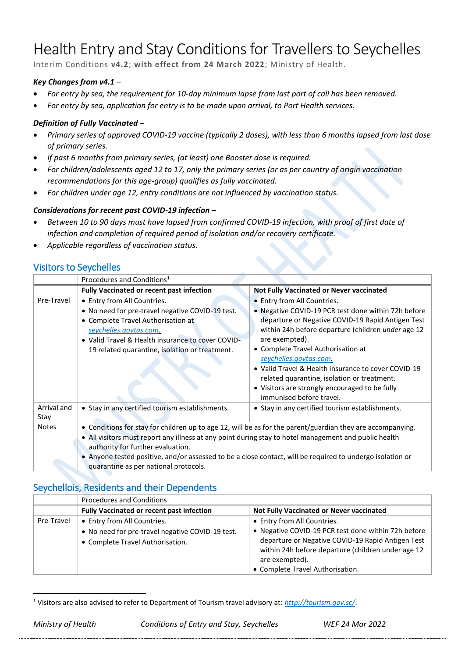# Health Entry and Stay Conditions for Travellers to Seychelles

Interim Conditions **v4.2**; **with effect from 24 March 2022**; Ministry of Health.

#### *Key Changes from v4.1 –*

- *For entry by sea, the requirement for 10-day minimum lapse from last port of call has been removed.*
- *For entry by sea, application for entry is to be made upon arrival, to Port Health services.*

#### *Definition of Fully Vaccinated –*

- *Primary series of approved COVID-19 vaccine (typically 2 doses), with less than 6 months lapsed from last dose of primary series.*
- *If past 6 months from primary series, (at least) one Booster dose is required.*
- *For children/adolescents aged 12 to 17, only the primary series (or as per country of origin vaccination recommendations for this age-group) qualifies as fully vaccinated.*
- *For children under age 12, entry conditions are not influenced by vaccination status.*

#### *Considerations for recent past COVID-19 infection –*

- *Between 10 to 90 days must have lapsed from confirmed COVID-19 infection, with proof of first date of infection and completion of required period of isolation and/or recovery certificate.*
- *Applicable regardless of vaccination status.*

#### Visitors to Seychelles

|                     | Procedures and Conditions <sup>1</sup>                                                                     |                                                                            |
|---------------------|------------------------------------------------------------------------------------------------------------|----------------------------------------------------------------------------|
|                     | <b>Fully Vaccinated or recent past infection</b>                                                           | <b>Not Fully Vaccinated or Never vaccinated</b>                            |
| Pre-Travel          | • Entry from All Countries.                                                                                | • Entry from All Countries.                                                |
|                     | . No need for pre-travel negative COVID-19 test.                                                           | • Negative COVID-19 PCR test done within 72h before                        |
|                     | • Complete Travel Authorisation at                                                                         | departure or Negative COVID-19 Rapid Antigen Test                          |
|                     | seychelles.govtas.com.                                                                                     | within 24h before departure (children under age 12                         |
|                     | • Valid Travel & Health insurance to cover COVID-                                                          | are exempted).                                                             |
|                     | 19 related quarantine, isolation or treatment.                                                             | • Complete Travel Authorisation at                                         |
|                     |                                                                                                            | seychelles.govtas.com.                                                     |
|                     |                                                                                                            | • Valid Travel & Health insurance to cover COVID-19                        |
|                     |                                                                                                            | related quarantine, isolation or treatment.                                |
|                     |                                                                                                            | • Visitors are strongly encouraged to be fully<br>immunised before travel. |
|                     |                                                                                                            |                                                                            |
| Arrival and<br>Stay | • Stay in any certified tourism establishments.                                                            | • Stay in any certified tourism establishments.                            |
| <b>Notes</b>        | • Conditions for stay for children up to age 12, will be as for the parent/guardian they are accompanying. |                                                                            |
|                     | . All visitors must report any illness at any point during stay to hotel management and public health      |                                                                            |
|                     | authority for further evaluation.                                                                          |                                                                            |
|                     | • Anyone tested positive, and/or assessed to be a close contact, will be required to undergo isolation or  |                                                                            |
|                     | quarantine as per national protocols.                                                                      |                                                                            |

#### Seychellois, Residents and their Dependents

|            | <b>Procedures and Conditions</b>                                                     |                                                                                                                                                                                                                      |
|------------|--------------------------------------------------------------------------------------|----------------------------------------------------------------------------------------------------------------------------------------------------------------------------------------------------------------------|
|            | <b>Fully Vaccinated or recent past infection</b>                                     | Not Fully Vaccinated or Never vaccinated                                                                                                                                                                             |
| Pre-Travel | • Entry from All Countries.                                                          | • Entry from All Countries.                                                                                                                                                                                          |
|            | • No need for pre-travel negative COVID-19 test.<br>• Complete Travel Authorisation. | • Negative COVID-19 PCR test done within 72h before<br>departure or Negative COVID-19 Rapid Antigen Test<br>within 24h before departure (children under age 12<br>are exempted).<br>• Complete Travel Authorisation. |

 $\overline{a}$ <sup>1</sup> Visitors are also advised to refer to Department of Tourism travel advisory at: *<http://tourism.gov.sc/>*[.](http://tourism.gov.sc/)